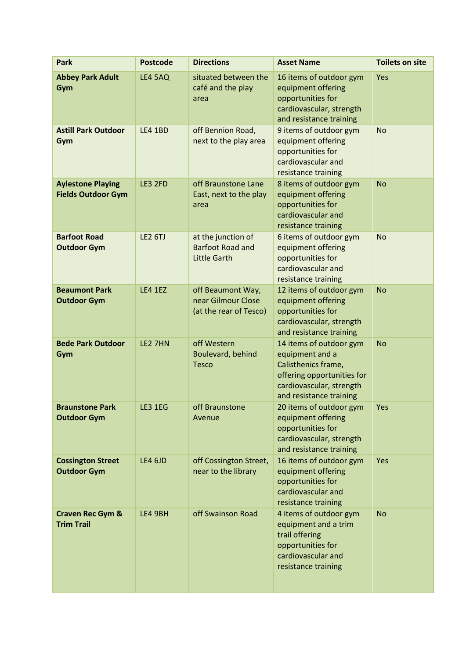| <b>Park</b>                                           | <b>Postcode</b> | <b>Directions</b>                                                    | <b>Asset Name</b>                                                                                                                                      | <b>Toilets on site</b> |
|-------------------------------------------------------|-----------------|----------------------------------------------------------------------|--------------------------------------------------------------------------------------------------------------------------------------------------------|------------------------|
| <b>Abbey Park Adult</b><br>Gym                        | <b>LE4 5AQ</b>  | situated between the<br>café and the play<br>area                    | 16 items of outdoor gym<br>equipment offering<br>opportunities for<br>cardiovascular, strength<br>and resistance training                              | Yes                    |
| <b>Astill Park Outdoor</b><br>Gym                     | <b>LE4 1BD</b>  | off Bennion Road,<br>next to the play area                           | 9 items of outdoor gym<br>equipment offering<br>opportunities for<br>cardiovascular and<br>resistance training                                         | <b>No</b>              |
| <b>Aylestone Playing</b><br><b>Fields Outdoor Gym</b> | LE3 2FD         | off Braunstone Lane<br>East, next to the play<br>area                | 8 items of outdoor gym<br>equipment offering<br>opportunities for<br>cardiovascular and<br>resistance training                                         | <b>No</b>              |
| <b>Barfoot Road</b><br><b>Outdoor Gym</b>             | <b>LE2 6TJ</b>  | at the junction of<br><b>Barfoot Road and</b><br><b>Little Garth</b> | 6 items of outdoor gym<br>equipment offering<br>opportunities for<br>cardiovascular and<br>resistance training                                         | <b>No</b>              |
| <b>Beaumont Park</b><br><b>Outdoor Gym</b>            | <b>LE4 1EZ</b>  | off Beaumont Way,<br>near Gilmour Close<br>(at the rear of Tesco)    | 12 items of outdoor gym<br>equipment offering<br>opportunities for<br>cardiovascular, strength<br>and resistance training                              | <b>No</b>              |
| <b>Bede Park Outdoor</b><br>Gym                       | LE2 7HN         | off Western<br>Boulevard, behind<br><b>Tesco</b>                     | 14 items of outdoor gym<br>equipment and a<br>Calisthenics frame,<br>offering opportunities for<br>cardiovascular, strength<br>and resistance training | <b>No</b>              |
| <b>Braunstone Park</b><br><b>Outdoor Gym</b>          | LE3 1EG         | off Braunstone<br>Avenue                                             | 20 items of outdoor gym<br>equipment offering<br>opportunities for<br>cardiovascular, strength<br>and resistance training                              | Yes                    |
| <b>Cossington Street</b><br><b>Outdoor Gym</b>        | LE4 6JD         | off Cossington Street,<br>near to the library                        | 16 items of outdoor gym<br>equipment offering<br>opportunities for<br>cardiovascular and<br>resistance training                                        | <b>Yes</b>             |
| <b>Craven Rec Gym &amp;</b><br><b>Trim Trail</b>      | LE4 9BH         | off Swainson Road                                                    | 4 items of outdoor gym<br>equipment and a trim<br>trail offering<br>opportunities for<br>cardiovascular and<br>resistance training                     | <b>No</b>              |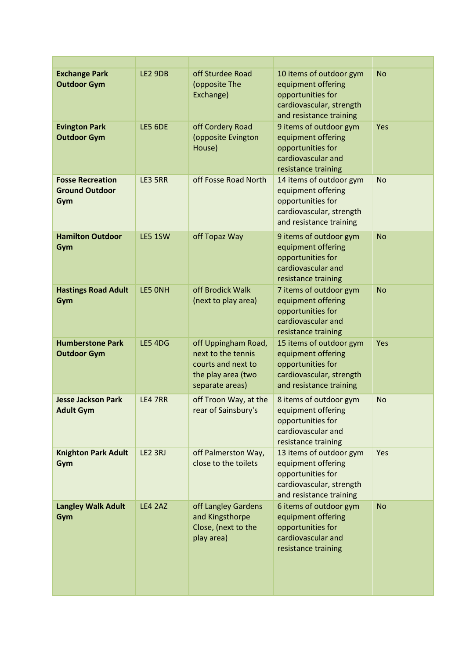| <b>Exchange Park</b><br><b>Outdoor Gym</b>              | <b>LE2 9DB</b> | off Sturdee Road<br>(opposite The<br>Exchange)                                                           | 10 items of outdoor gym<br>equipment offering<br>opportunities for<br>cardiovascular, strength<br>and resistance training | <b>No</b> |
|---------------------------------------------------------|----------------|----------------------------------------------------------------------------------------------------------|---------------------------------------------------------------------------------------------------------------------------|-----------|
| <b>Evington Park</b><br><b>Outdoor Gym</b>              | <b>LE5 6DE</b> | off Cordery Road<br>(opposite Evington<br>House)                                                         | 9 items of outdoor gym<br>equipment offering<br>opportunities for<br>cardiovascular and<br>resistance training            | Yes       |
| <b>Fosse Recreation</b><br><b>Ground Outdoor</b><br>Gym | LE3 5RR        | off Fosse Road North                                                                                     | 14 items of outdoor gym<br>equipment offering<br>opportunities for<br>cardiovascular, strength<br>and resistance training | <b>No</b> |
| <b>Hamilton Outdoor</b><br>Gym                          | LE5 1SW        | off Topaz Way                                                                                            | 9 items of outdoor gym<br>equipment offering<br>opportunities for<br>cardiovascular and<br>resistance training            | <b>No</b> |
| <b>Hastings Road Adult</b><br>Gym                       | LE5 ONH        | off Brodick Walk<br>(next to play area)                                                                  | 7 items of outdoor gym<br>equipment offering<br>opportunities for<br>cardiovascular and<br>resistance training            | <b>No</b> |
| <b>Humberstone Park</b><br><b>Outdoor Gym</b>           | <b>LE5 4DG</b> | off Uppingham Road,<br>next to the tennis<br>courts and next to<br>the play area (two<br>separate areas) | 15 items of outdoor gym<br>equipment offering<br>opportunities for<br>cardiovascular, strength<br>and resistance training | Yes       |
| <b>Jesse Jackson Park</b><br><b>Adult Gym</b>           | LE4 7RR        | off Troon Way, at the<br>rear of Sainsbury's                                                             | 8 items of outdoor gym<br>equipment offering<br>opportunities for<br>cardiovascular and<br>resistance training            | <b>No</b> |
| <b>Knighton Park Adult</b><br>Gym                       | LE2 3RJ        | off Palmerston Way,<br>close to the toilets                                                              | 13 items of outdoor gym<br>equipment offering<br>opportunities for<br>cardiovascular, strength<br>and resistance training | Yes       |
| <b>Langley Walk Adult</b><br>Gym                        | <b>LE4 2AZ</b> | off Langley Gardens<br>and Kingsthorpe<br>Close, (next to the<br>play area)                              | 6 items of outdoor gym<br>equipment offering<br>opportunities for<br>cardiovascular and<br>resistance training            | <b>No</b> |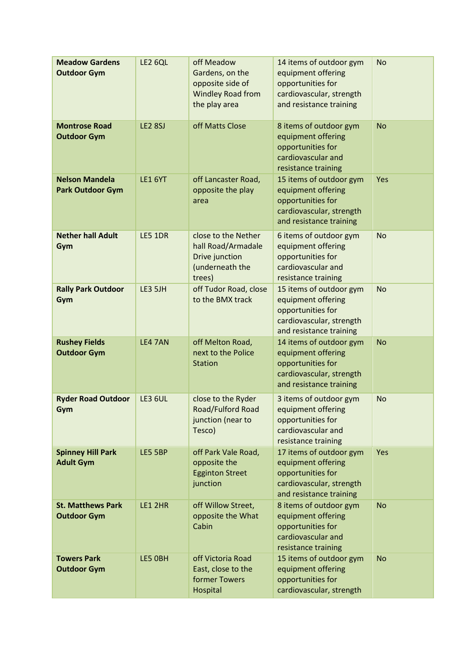| <b>Meadow Gardens</b><br><b>Outdoor Gym</b>      | <b>LE2 6QL</b> | off Meadow<br>Gardens, on the<br>opposite side of<br>Windley Road from<br>the play area  | 14 items of outdoor gym<br>equipment offering<br>opportunities for<br>cardiovascular, strength<br>and resistance training | <b>No</b>  |
|--------------------------------------------------|----------------|------------------------------------------------------------------------------------------|---------------------------------------------------------------------------------------------------------------------------|------------|
| <b>Montrose Road</b><br><b>Outdoor Gym</b>       | <b>LE2 8SJ</b> | off Matts Close                                                                          | 8 items of outdoor gym<br>equipment offering<br>opportunities for<br>cardiovascular and<br>resistance training            | <b>No</b>  |
| <b>Nelson Mandela</b><br><b>Park Outdoor Gym</b> | <b>LE1 6YT</b> | off Lancaster Road,<br>opposite the play<br>area                                         | 15 items of outdoor gym<br>equipment offering<br>opportunities for<br>cardiovascular, strength<br>and resistance training | Yes        |
| <b>Nether hall Adult</b><br>Gym                  | <b>LE5 1DR</b> | close to the Nether<br>hall Road/Armadale<br>Drive junction<br>(underneath the<br>trees) | 6 items of outdoor gym<br>equipment offering<br>opportunities for<br>cardiovascular and<br>resistance training            | <b>No</b>  |
| <b>Rally Park Outdoor</b><br>Gym                 | LE3 5JH        | off Tudor Road, close<br>to the BMX track                                                | 15 items of outdoor gym<br>equipment offering<br>opportunities for<br>cardiovascular, strength<br>and resistance training | <b>No</b>  |
| <b>Rushey Fields</b><br><b>Outdoor Gym</b>       | <b>LE4 7AN</b> | off Melton Road,<br>next to the Police<br><b>Station</b>                                 | 14 items of outdoor gym<br>equipment offering<br>opportunities for<br>cardiovascular, strength<br>and resistance training | <b>No</b>  |
| <b>Ryder Road Outdoor</b><br>Gym                 | <b>LE3 6UL</b> | close to the Ryder<br>Road/Fulford Road<br>junction (near to<br>Tesco)                   | 3 items of outdoor gym<br>equipment offering<br>opportunities for<br>cardiovascular and<br>resistance training            | <b>No</b>  |
| <b>Spinney Hill Park</b><br><b>Adult Gym</b>     | LE5 5BP        | off Park Vale Road,<br>opposite the<br><b>Egginton Street</b><br>junction                | 17 items of outdoor gym<br>equipment offering<br>opportunities for<br>cardiovascular, strength<br>and resistance training | <b>Yes</b> |
| <b>St. Matthews Park</b><br><b>Outdoor Gym</b>   | LE1 2HR        | off Willow Street,<br>opposite the What<br>Cabin                                         | 8 items of outdoor gym<br>equipment offering<br>opportunities for<br>cardiovascular and<br>resistance training            | <b>No</b>  |
| <b>Towers Park</b><br><b>Outdoor Gym</b>         | LE5 OBH        | off Victoria Road<br>East, close to the<br>former Towers<br>Hospital                     | 15 items of outdoor gym<br>equipment offering<br>opportunities for<br>cardiovascular, strength                            | <b>No</b>  |